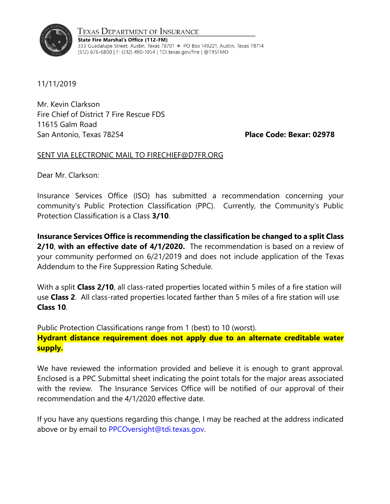

Texas Department of Insurance State Fire Marshal's Office (112-FM) 333 Guadalupe Street, Austin, Texas 78701 ★ PO Box 149221, Austin, Texas 78714 (512) 676-6800 | F: (512) 490-1054 | TDI.texas.gov/fire | @TXSFMO

11/11/2019

Mr. Kevin Clarkson Fire Chief of District 7 Fire Rescue FDS 11615 Galm Road San Antonio, Texas 78254 **Place Code: Bexar: 02978**

## SENT VIA ELECTRONIC MAIL TO FIRECHIEF@D7FR.ORG

Dear Mr. Clarkson:

Insurance Services Office (ISO) has submitted a recommendation concerning your community's Public Protection Classification (PPC). Currently, the Community's Public Protection Classification is a Class **3/10**.

**Insurance Services Office is recommending the classification be changed to a split Class 2/10**, **with an effective date of 4/1/2020.** The recommendation is based on a review of your community performed on 6/21/2019 and does not include application of the Texas Addendum to the Fire Suppression Rating Schedule.

With a split **Class 2/10**, all class-rated properties located within 5 miles of a fire station will use **Class 2**. All class-rated properties located farther than 5 miles of a fire station will use **Class 10**.

Public Protection Classifications range from 1 (best) to 10 (worst). **Hydrant distance requirement does not apply due to an alternate creditable water supply.**

We have reviewed the information provided and believe it is enough to grant approval. Enclosed is a PPC Submittal sheet indicating the point totals for the major areas associated with the review. The Insurance Services Office will be notified of our approval of their recommendation and the 4/1/2020 effective date.

If you have any questions regarding this change, I may be reached at the address indicated above or by email to [PPCOversight@tdi.texas.gov.](mailto:PPCOversight@tdi.texas.gov)